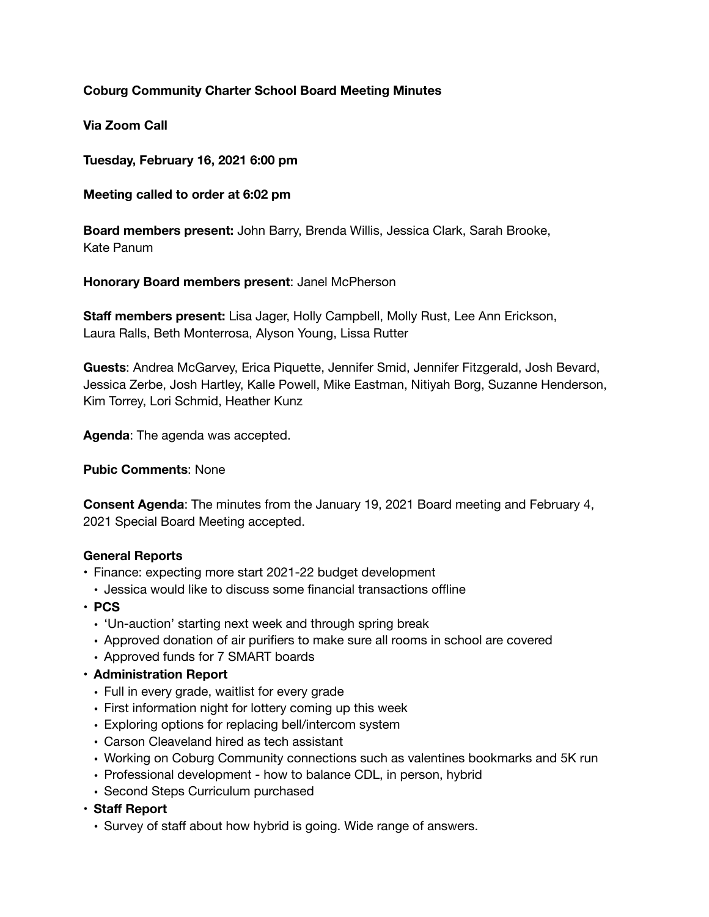# **Coburg Community Charter School Board Meeting Minutes**

**Via Zoom Call** 

**Tuesday, February 16, 2021 6:00 pm** 

**Meeting called to order at 6:02 pm** 

**Board members present:** John Barry, Brenda Willis, Jessica Clark, Sarah Brooke, Kate Panum

**Honorary Board members present**: Janel McPherson

**Staff members present:** Lisa Jager, Holly Campbell, Molly Rust, Lee Ann Erickson, Laura Ralls, Beth Monterrosa, Alyson Young, Lissa Rutter

**Guests**: Andrea McGarvey, Erica Piquette, Jennifer Smid, Jennifer Fitzgerald, Josh Bevard, Jessica Zerbe, Josh Hartley, Kalle Powell, Mike Eastman, Nitiyah Borg, Suzanne Henderson, Kim Torrey, Lori Schmid, Heather Kunz

**Agenda**: The agenda was accepted.

**Pubic Comments**: None

**Consent Agenda**: The minutes from the January 19, 2021 Board meeting and February 4, 2021 Special Board Meeting accepted.

### **General Reports**

- Finance: expecting more start 2021-22 budget development
- Jessica would like to discuss some financial transactions offline
- **• PCS** 
	- 'Un-auction' starting next week and through spring break
	- Approved donation of air purifiers to make sure all rooms in school are covered
	- Approved funds for 7 SMART boards
- **• Administration Report** 
	- Full in every grade, waitlist for every grade
	- First information night for lottery coming up this week
	- Exploring options for replacing bell/intercom system
	- Carson Cleaveland hired as tech assistant
	- Working on Coburg Community connections such as valentines bookmarks and 5K run
	- Professional development how to balance CDL, in person, hybrid
	- Second Steps Curriculum purchased
- **• Staff Report** 
	- Survey of staff about how hybrid is going. Wide range of answers.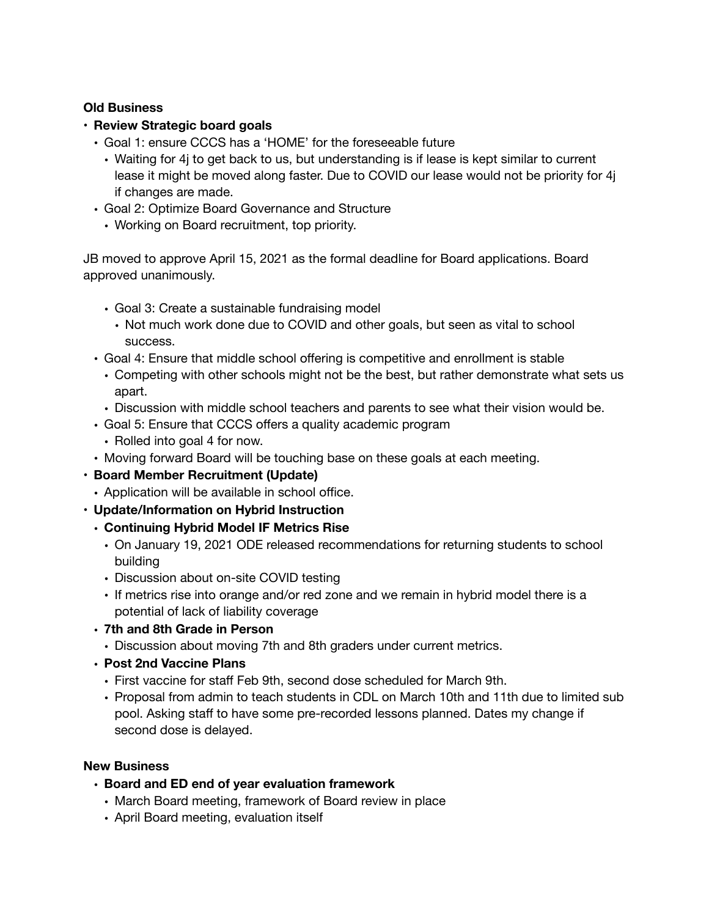## **Old Business**

# **• Review Strategic board goals**

- Goal 1: ensure CCCS has a 'HOME' for the foreseeable future
	- Waiting for 4j to get back to us, but understanding is if lease is kept similar to current lease it might be moved along faster. Due to COVID our lease would not be priority for 4j if changes are made.
- Goal 2: Optimize Board Governance and Structure
	- Working on Board recruitment, top priority.

JB moved to approve April 15, 2021 as the formal deadline for Board applications. Board approved unanimously.

- Goal 3: Create a sustainable fundraising model
	- Not much work done due to COVID and other goals, but seen as vital to school success.
- Goal 4: Ensure that middle school offering is competitive and enrollment is stable
	- Competing with other schools might not be the best, but rather demonstrate what sets us apart.
	- Discussion with middle school teachers and parents to see what their vision would be.
- Goal 5: Ensure that CCCS offers a quality academic program
- Rolled into goal 4 for now.
- Moving forward Board will be touching base on these goals at each meeting.
- **• Board Member Recruitment (Update)** 
	- Application will be available in school office.
- **• Update/Information on Hybrid Instruction** 
	- **• Continuing Hybrid Model IF Metrics Rise** 
		- On January 19, 2021 ODE released recommendations for returning students to school building
		- Discussion about on-site COVID testing
		- If metrics rise into orange and/or red zone and we remain in hybrid model there is a potential of lack of liability coverage
	- **• 7th and 8th Grade in Person** 
		- Discussion about moving 7th and 8th graders under current metrics.
	- **• Post 2nd Vaccine Plans** 
		- First vaccine for staff Feb 9th, second dose scheduled for March 9th.
		- Proposal from admin to teach students in CDL on March 10th and 11th due to limited sub pool. Asking staff to have some pre-recorded lessons planned. Dates my change if second dose is delayed.

# **New Business**

- **• Board and ED end of year evaluation framework** 
	- March Board meeting, framework of Board review in place
	- April Board meeting, evaluation itself